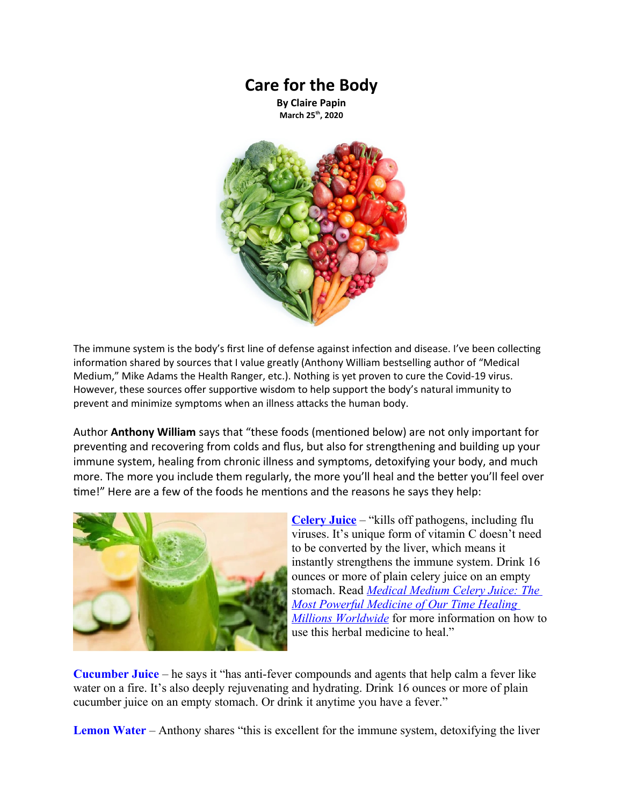## **Care for the Body**

**By Claire Papin March 25th, 2020**



The immune system is the body's first line of defense against infection and disease. I've been collecting information shared by sources that I value greatly (Anthony William bestselling author of "Medical Medium," Mike Adams the Health Ranger, etc.). Nothing is yet proven to cure the Covid-19 virus. However, these sources offer supportive wisdom to help support the body's natural immunity to prevent and minimize symptoms when an illness attacks the human body.

Author **Anthony William** says that "these foods (mentioned below) are not only important for preventing and recovering from colds and flus, but also for strengthening and building up your immune system, healing from chronic illness and symptoms, detoxifying your body, and much more. The more you include them regularly, the more you'll heal and the better you'll feel over time!" Here are a few of the foods he mentions and the reasons he says they help:



**[Celery Juice](https://www.medicalmedium.com/mm101/medical-medium-celery-juice.htm)** – "kills off pathogens, including flu viruses. It's unique form of vitamin C doesn't need to be converted by the liver, which means it instantly strengthens the immune system. Drink 16 ounces or more of plain celery juice on an empty stomach. Read *[Medical Medium Celery Juice: The](https://amzn.to/2Xz811P)  [Most Powerful Medicine of Our Time Healing](https://amzn.to/2Xz811P)  [Millions Worldwide](https://amzn.to/2Xz811P)* for more information on how to use this herbal medicine to heal."

**[Cucumber Juice](https://www.medicalmedium.com/mm101/medical-medium-cucumber-juice.htm)** – he says it "has anti-fever compounds and agents that help calm a fever like water on a fire. It's also deeply rejuvenating and hydrating. Drink 16 ounces or more of plain cucumber juice on an empty stomach. Or drink it anytime you have a fever."

**[Lemon Water](https://www.medicalmedium.com/mm101/medical-medium-lemon-water.htm)** – Anthony shares "this is excellent for the immune system, detoxifying the liver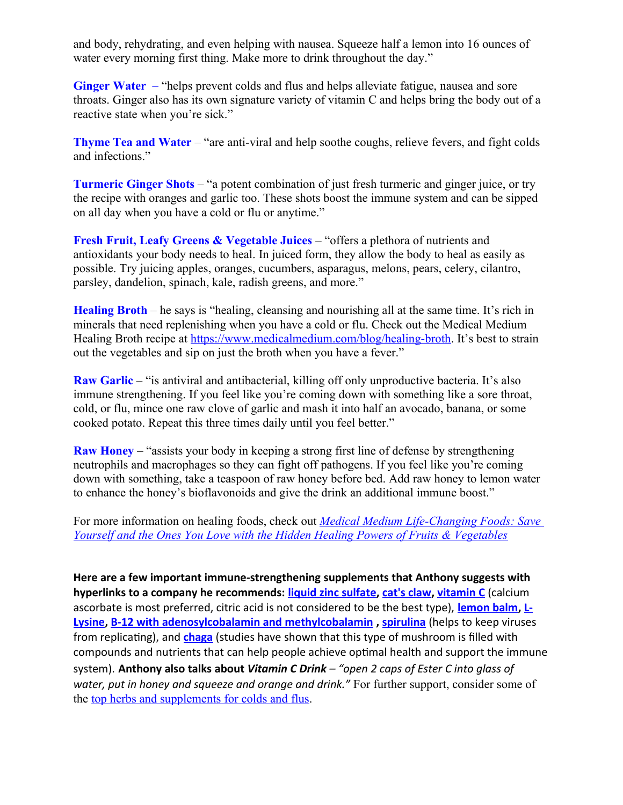and body, rehydrating, and even helping with nausea. Squeeze half a lemon into 16 ounces of water every morning first thing. Make more to drink throughout the day."

**[Ginger Water](https://www.medicalmedium.com/mm101/medical-medium-ginger-water.htm)** – "helps prevent colds and flus and helps alleviate fatigue, nausea and sore throats. Ginger also has its own signature variety of vitamin C and helps bring the body out of a reactive state when you're sick."

**[Thyme Tea and Water](https://www.medicalmedium.com/mm101/medical-medium-thyme-tea-water.htm)** – "are anti-viral and help soothe coughs, relieve fevers, and fight colds and infections."

**[Turmeric Ginger Shots](https://www.medicalmedium.com/mm101/medical-medium-turmeric-ginger-shots.htm)** – "a potent combination of just fresh turmeric and ginger juice, or try the recipe with oranges and garlic too. These shots boost the immune system and can be sipped on all day when you have a cold or flu or anytime."

**Fresh Fruit, Leafy Greens & Vegetable Juices** – "offers a plethora of nutrients and antioxidants your body needs to heal. In juiced form, they allow the body to heal as easily as possible. Try juicing apples, oranges, cucumbers, asparagus, melons, pears, celery, cilantro, parsley, dandelion, spinach, kale, radish greens, and more."

**[Healing Broth](https://www.medicalmedium.com/mm101/medical-medium-healing-broth.htm)** – he says is "healing, cleansing and nourishing all at the same time. It's rich in minerals that need replenishing when you have a cold or flu. Check out the Medical Medium Healing Broth recipe at<https://www.medicalmedium.com/blog/healing-broth>. It's best to strain out the vegetables and sip on just the broth when you have a fever."

**[Raw Garlic](https://www.medicalmedium.com/blog/garlic)** – "is antiviral and antibacterial, killing off only unproductive bacteria. It's also immune strengthening. If you feel like you're coming down with something like a sore throat, cold, or flu, mince one raw clove of garlic and mash it into half an avocado, banana, or some cooked potato. Repeat this three times daily until you feel better."

**[Raw Honey](https://www.medicalmedium.com/blog/raw-honey-miracles)** – "assists your body in keeping a strong first line of defense by strengthening neutrophils and macrophages so they can fight off pathogens. If you feel like you're coming down with something, take a teaspoon of raw honey before bed. Add raw honey to lemon water to enhance the honey's bioflavonoids and give the drink an additional immune boost."

For more information on healing foods, check out *[Medical Medium Life-Changing Foods: Save](http://amzn.to/1SINq5p)  [Yourself and the Ones You Love with the Hidden Healing Powers of Fruits & Vegetables](http://amzn.to/1SINq5p)*

**Here are a few important immune-strengthening supplements that Anthony suggests with hyperlinks to a company he recommends: [liquid zinc sulfate](https://vimergy.com/products/organic-zinc), [cat's claw](https://vimergy.com/products/cats-claw), [vitamin C](https://vimergy.com/products/ester-c)** (calcium ascorbate is most preferred, citric acid is not considered to be the best type), **[lemon balm](https://vimergy.com/products/lemon-balm), [L-](https://vimergy.com/products/l-lysine)[Lysine](https://vimergy.com/products/l-lysine), [B-12 with adenosylcobalamin and methylcobalamin](https://vimergy.com/products/b12) , [spirulina](https://vimergy.com/products/usa-grown-spirulina)** (helps to keep viruses from replicating), and **[chaga](https://vimergy.com/products/chaga)** (studies have shown that this type of mushroom is filled with compounds and nutrients that can help people achieve optimal health and support the immune system). **Anthony also talks about** *Vitamin C Drink – "open 2 caps of Ester C into glass of water, put in honey and squeeze and orange and drink."* For further support, consider some of the [top herbs and supplements for colds and flus](https://www.medicalmedium.com/blog/9-top-cold-flu-herbs-supplements).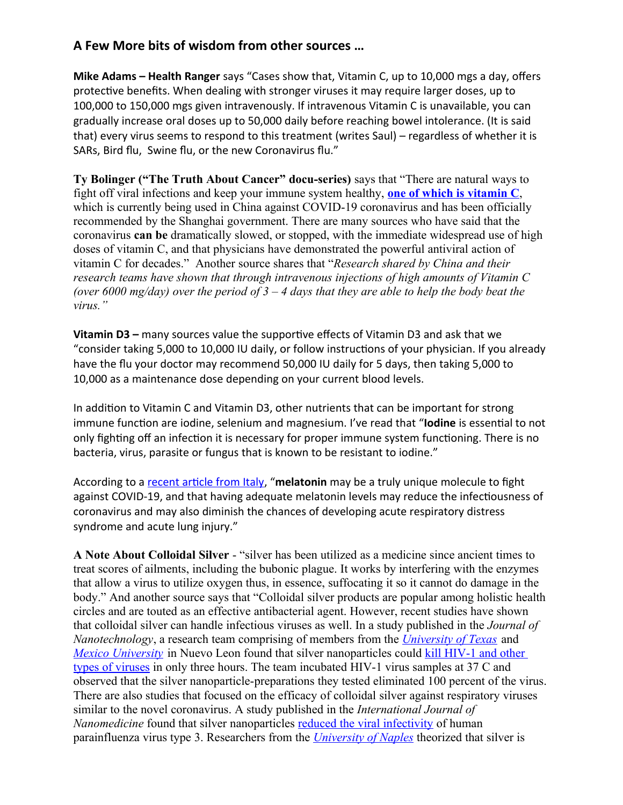## **A Few More bits of wisdom from other sources …**

**Mike Adams – Health Ranger** says "Cases show that, Vitamin C, up to 10,000 mgs a day, offers protective benefits. When dealing with stronger viruses it may require larger doses, up to 100,000 to 150,000 mgs given intravenously. If intravenous Vitamin C is unavailable, you can gradually increase oral doses up to 50,000 daily before reaching bowel intolerance. (It is said that) every virus seems to respond to this treatment (writes Saul) – regardless of whether it is SARs, Bird flu, Swine flu, or the new Coronavirus flu."

**Ty Bolinger ("The Truth About Cancer" docu-series)** says that "There are natural ways to fight off viral infections and keep your immune system healthy, **[one of which is vitamin C](https://thetruthaboutcancer.com/7-benefits-vitamin-c/)**, which is currently being used in China against COVID-19 coronavirus and has been officially recommended by the Shanghai government. There are many sources who have said that the coronavirus **can be** dramatically slowed, or stopped, with the immediate widespread use of high doses of vitamin C, and that physicians have demonstrated the powerful antiviral action of vitamin C for decades." Another source shares that "*Research shared by China and their research teams have shown that through intravenous injections of high amounts of Vitamin C (over 6000 mg/day) over the period of 3 – 4 days that they are able to help the body beat the virus."*

**Vitamin D3 –** many sources value the supportive effects of Vitamin D3 and ask that we "consider taking 5,000 to 10,000 IU daily, or follow instructions of your physician. If you already have the flu your doctor may recommend 50,000 IU daily for 5 days, then taking 5,000 to 10,000 as a maintenance dose depending on your current blood levels.

In addition to Vitamin C and Vitamin D3, other nutrients that can be important for strong immune function are iodine, selenium and magnesium. I've read that "**Iodine** is essential to not only fighting off an infection it is necessary for proper immune system functioning. There is no bacteria, virus, parasite or fungus that is known to be resistant to iodine."

According to a [recent article from Italy,](https://www.evolutamente.it/covid-19-pneumonia-inflammasomes-the-melatonin-connection/) "**melatonin** may be a truly unique molecule to fight against COVID-19, and that having adequate melatonin levels may reduce the infectiousness of coronavirus and may also diminish the chances of developing acute respiratory distress syndrome and acute lung injury."

**A Note About Colloidal Silver** - "silver has been utilized as a medicine since ancient times to treat scores of ailments, including the bubonic plague. It works by interfering with the enzymes that allow a virus to utilize oxygen thus, in essence, suffocating it so it cannot do damage in the body." And another source says that "Colloidal silver products are popular among holistic health circles and are touted as an effective antibacterial agent. However, recent studies have shown that colloidal silver can handle infectious viruses as well. In a study published in the *Journal of Nanotechnology*, a research team comprising of members from the *[University of Texas](https://www.utexas.edu/)* and *[Mexico University](https://www.uanl.mx/en/)* in Nuevo Leon found that silver nanoparticles could kill HIV-1 and other [types of viruses](https://phys.org/news/2005-10-silver-nanoparticles-hiv-virus.html) in only three hours. The team incubated HIV-1 virus samples at 37 C and observed that the silver nanoparticle-preparations they tested eliminated 100 percent of the virus. There are also studies that focused on the efficacy of colloidal silver against respiratory viruses similar to the novel coronavirus. A study published in the *International Journal of Nanomedicine* found that silver nanoparticles [reduced the viral infectivity](https://www.dovepress.com/antiviral-activity-of-mycosynthesized-silver-nanoparticles-against-her-peer-reviewed-article-IJN) of human parainfluenza virus type 3. Researchers from the *[University of Naples](http://www.unina.it/home;jsessionid=7BC11E6B46E7355DDA8C7B2AD8F951ED.node_publisher11)* theorized that silver is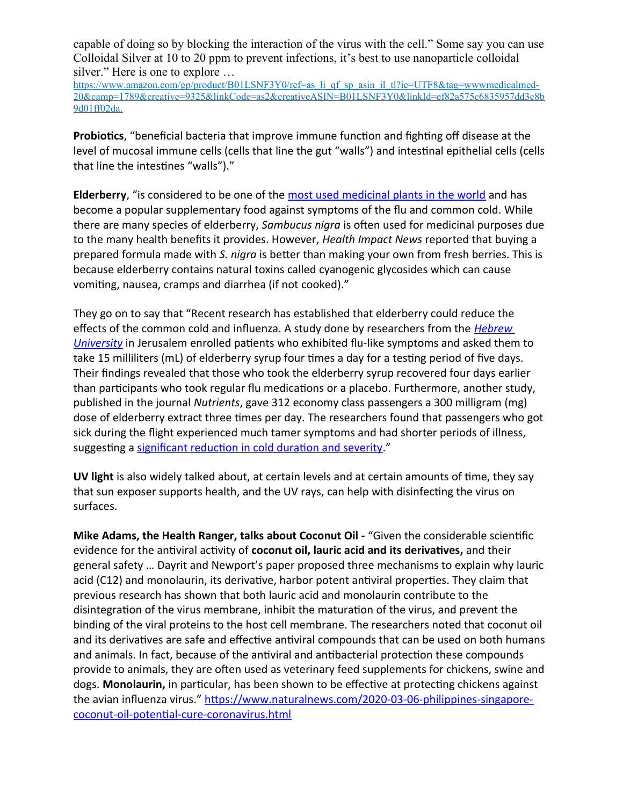capable of doing so by blocking the interaction of the virus with the cell." Some say you can use Colloidal Silver at 10 to 20 ppm to prevent infections, it's best to use nanoparticle colloidal silver." Here is one to explore ...

[https://www.amazon.com/gp/product/B01LSNF3Y0/ref=as\\_li\\_qf\\_sp\\_asin\\_il\\_tl?ie=UTF8&tag=wwwmedicalmed-](https://www.amazon.com/gp/product/B01LSNF3Y0/ref=as_li_qf_sp_asin_il_tl?ie=UTF8&tag=wwwmedicalmed-20&camp=1789&creative=9325&linkCode=as2&creativeASIN=B01LSNF3Y0&linkId=ef82a575c6835957dd3c8b9d01ff02da.)[20&camp=1789&creative=9325&linkCode=as2&creativeASIN=B01LSNF3Y0&linkId=ef82a575c6835957dd3c8b](https://www.amazon.com/gp/product/B01LSNF3Y0/ref=as_li_qf_sp_asin_il_tl?ie=UTF8&tag=wwwmedicalmed-20&camp=1789&creative=9325&linkCode=as2&creativeASIN=B01LSNF3Y0&linkId=ef82a575c6835957dd3c8b9d01ff02da.) [9d01ff02da.](https://www.amazon.com/gp/product/B01LSNF3Y0/ref=as_li_qf_sp_asin_il_tl?ie=UTF8&tag=wwwmedicalmed-20&camp=1789&creative=9325&linkCode=as2&creativeASIN=B01LSNF3Y0&linkId=ef82a575c6835957dd3c8b9d01ff02da.)

**Probiotics**, "beneficial bacteria that improve immune function and fighting off disease at the level of mucosal immune cells (cells that line the gut "walls") and intestinal epithelial cells (cells that line the intestines "walls")."

**Elderberry**, "is considered to be one of the [most used medicinal plants in the world](https://www.healthline.com/nutrition/elderberry) and has become a popular supplementary food against symptoms of the flu and common cold. While there are many species of elderberry, *Sambucus nigra* is often used for medicinal purposes due to the many health benefits it provides. However, *Health Impact News* reported that buying a prepared formula made with *S. nigra* is better than making your own from fresh berries. This is because elderberry contains natural toxins called cyanogenic glycosides which can cause vomiting, nausea, cramps and diarrhea (if not cooked)."

They go on to say that "Recent research has established that elderberry could reduce the effects of the common cold and influenza. A study done by researchers from the *[Hebrew](https://new.huji.ac.il/en)  [University](https://new.huji.ac.il/en)* in Jerusalem enrolled patients who exhibited flu-like symptoms and asked them to take 15 milliliters (mL) of elderberry syrup four times a day for a testing period of five days. Their findings revealed that those who took the elderberry syrup recovered four days earlier than participants who took regular flu medications or a placebo. Furthermore, another study, published in the journal *Nutrients*, gave 312 economy class passengers a 300 milligram (mg) dose of elderberry extract three times per day. The researchers found that passengers who got sick during the flight experienced much tamer symptoms and had shorter periods of illness, suggesting a [significant reduction in cold duration and severity](https://www.mdpi.com/2072-6643/8/4/182)."

**UV light** is also widely talked about, at certain levels and at certain amounts of time, they say that sun exposer supports health, and the UV rays, can help with disinfecting the virus on surfaces.

**Mike Adams, the Health Ranger, talks about Coconut Oil -** "Given the considerable scientific evidence for the antiviral activity of **coconut oil, lauric acid and its derivatives,** and their general safety … Dayrit and Newport's paper proposed three mechanisms to explain why lauric acid (C12) and monolaurin, its derivative, harbor potent antiviral properties. They claim that previous research has shown that both lauric acid and monolaurin contribute to the disintegration of the virus membrane, inhibit the maturation of the virus, and prevent the binding of the viral proteins to the host cell membrane. The researchers noted that coconut oil and its derivatives are safe and effective antiviral compounds that can be used on both humans and animals. In fact, because of the antiviral and antibacterial protection these compounds provide to animals, they are often used as veterinary feed supplements for chickens, swine and dogs. **Monolaurin,** in particular, has been shown to be effective at protecting chickens against the avian influenza virus." [https://www.naturalnews.com/2020-03-06-philippines-singapore](https://www.naturalnews.com/2020-03-06-philippines-singapore-coconut-oil-potential-cure-coronavirus.html)[coconut-oil-potential-cure-coronavirus.html](https://www.naturalnews.com/2020-03-06-philippines-singapore-coconut-oil-potential-cure-coronavirus.html)